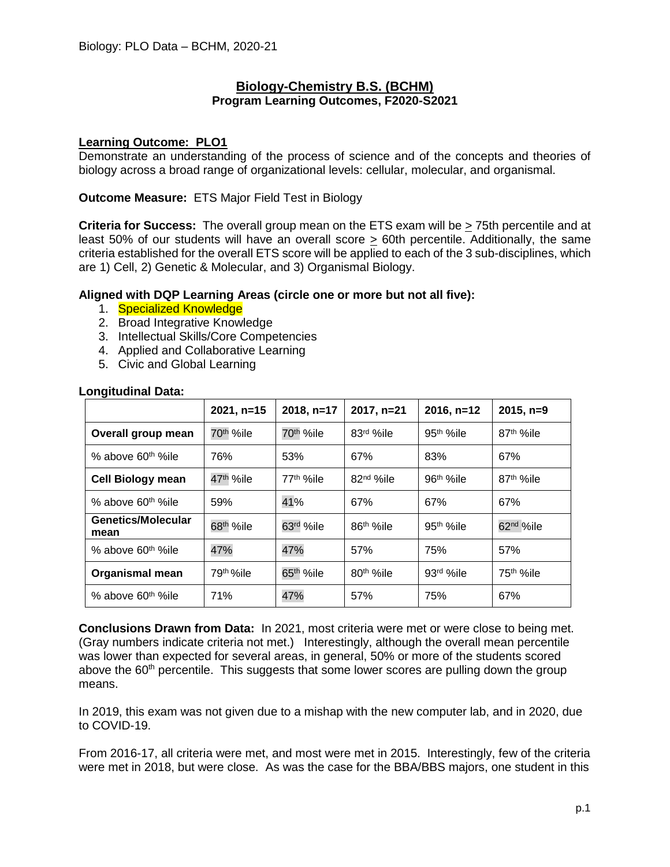## **Biology-Chemistry B.S. (BCHM) Program Learning Outcomes, F2020-S2021**

## **Learning Outcome: PLO1**

Demonstrate an understanding of the process of science and of the concepts and theories of biology across a broad range of organizational levels: cellular, molecular, and organismal.

## **Outcome Measure:** ETS Major Field Test in Biology

**Criteria for Success:** The overall group mean on the ETS exam will be > 75th percentile and at least 50% of our students will have an overall score > 60th percentile. Additionally, the same criteria established for the overall ETS score will be applied to each of the 3 sub-disciplines, which are 1) Cell, 2) Genetic & Molecular, and 3) Organismal Biology.

## **Aligned with DQP Learning Areas (circle one or more but not all five):**

- 1. Specialized Knowledge
- 2. Broad Integrative Knowledge
- 3. Intellectual Skills/Core Competencies
- 4. Applied and Collaborative Learning
- 5. Civic and Global Learning

|                                | $2021, n=15$           | $2018, n=17$          | $2017, n=21$           | $2016, n=12$          | $2015, n=9$            |
|--------------------------------|------------------------|-----------------------|------------------------|-----------------------|------------------------|
| Overall group mean             | 70 <sup>th</sup> %ile  | 70 <sup>th</sup> %ile | 83rd %ile              | 95 <sup>th</sup> %ile | 87 <sup>th</sup> %ile  |
| % above 60 <sup>th %</sup> ile | 76%                    | 53%                   | 67%                    | 83%                   | 67%                    |
| <b>Cell Biology mean</b>       | 47 <sup>th</sup> %ile  | 77 <sup>th</sup> %ile | 82 <sup>nd</sup> %ile  | 96 <sup>th</sup> %ile | 87 <sup>th</sup> %ile  |
| % above 60 <sup>th %</sup> ile | 59%                    | 41%                   | 67%                    | 67%                   | 67%                    |
| Genetics/Molecular<br>mean     | 68 <sup>th</sup> %ile  | 63rd %ile             | 86 <sup>th %</sup> ile | 95 <sup>th</sup> %ile | 62 <sup>nd</sup> %ile  |
| % above 60 <sup>th %</sup> ile | 47%                    | 47%                   | 57%                    | 75%                   | 57%                    |
| Organismal mean                | 79 <sup>th %</sup> ile | 65 <sup>th</sup> %ile | 80 <sup>th</sup> %ile  | 93rd %ile             | 75 <sup>th %</sup> ile |
| % above 60 <sup>th %</sup> ile | 71%                    | 47%                   | 57%                    | 75%                   | 67%                    |

## **Longitudinal Data:**

**Conclusions Drawn from Data:** In 2021, most criteria were met or were close to being met. (Gray numbers indicate criteria not met.) Interestingly, although the overall mean percentile was lower than expected for several areas, in general, 50% or more of the students scored above the 60<sup>th</sup> percentile. This suggests that some lower scores are pulling down the group means.

In 2019, this exam was not given due to a mishap with the new computer lab, and in 2020, due to COVID-19.

From 2016-17, all criteria were met, and most were met in 2015. Interestingly, few of the criteria were met in 2018, but were close. As was the case for the BBA/BBS majors, one student in this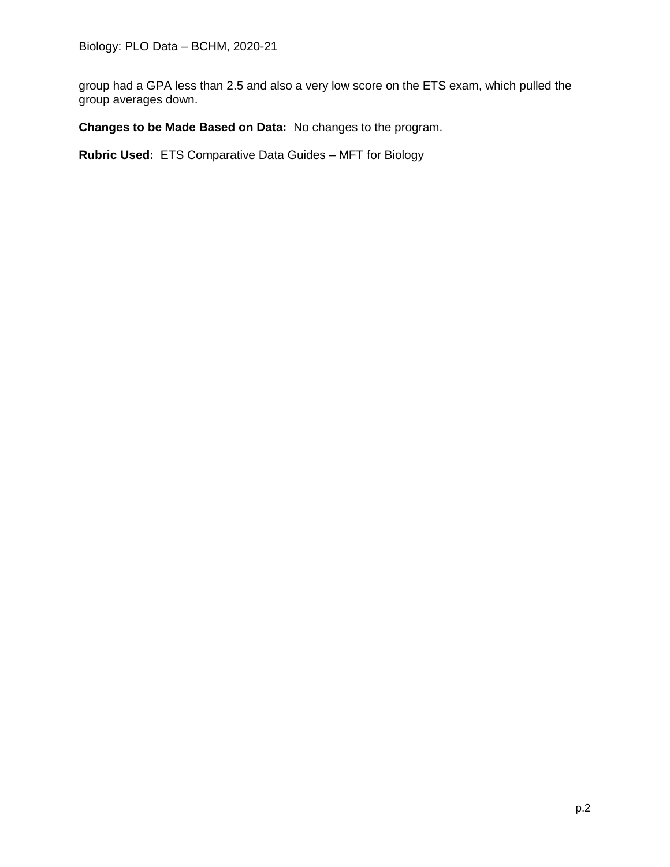group had a GPA less than 2.5 and also a very low score on the ETS exam, which pulled the group averages down.

**Changes to be Made Based on Data:** No changes to the program.

**Rubric Used:** ETS Comparative Data Guides – MFT for Biology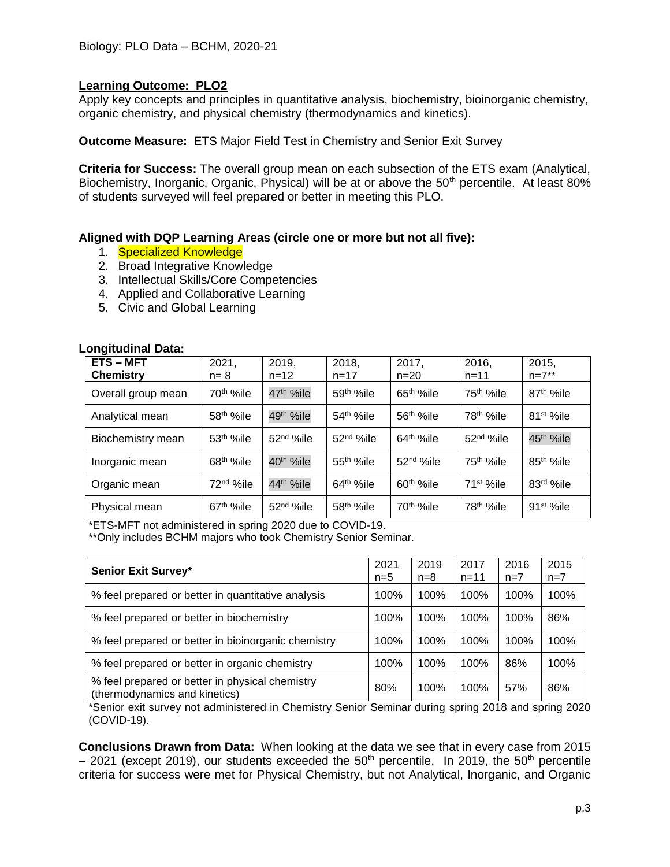Apply key concepts and principles in quantitative analysis, biochemistry, bioinorganic chemistry, organic chemistry, and physical chemistry (thermodynamics and kinetics).

**Outcome Measure:** ETS Major Field Test in Chemistry and Senior Exit Survey

**Criteria for Success:** The overall group mean on each subsection of the ETS exam (Analytical, Biochemistry, Inorganic, Organic, Physical) will be at or above the 50<sup>th</sup> percentile. At least 80% of students surveyed will feel prepared or better in meeting this PLO.

## **Aligned with DQP Learning Areas (circle one or more but not all five):**

- 1. Specialized Knowledge
- 2. Broad Integrative Knowledge
- 3. Intellectual Skills/Core Competencies
- 4. Applied and Collaborative Learning
- 5. Civic and Global Learning

| <b>ETS-MFT</b><br><b>Chemistry</b> | 2021,<br>$n=8$        | 2019,<br>$n = 12$     | 2018,<br>$n = 17$     | 2017,<br>$n = 20$     | 2016,<br>$n = 11$      | 2015,<br>$n=7**$       |
|------------------------------------|-----------------------|-----------------------|-----------------------|-----------------------|------------------------|------------------------|
| Overall group mean                 | 70 <sup>th</sup> %ile | 47 <sup>th</sup> %ile | 59th %ile             | 65 <sup>th</sup> %ile | 75 <sup>th</sup> %ile  | 87 <sup>th %</sup> ile |
| Analytical mean                    | 58 <sup>th</sup> %ile | 49 <sup>th</sup> %ile | 54th %ile             | 56 <sup>th</sup> %ile | 78 <sup>th %</sup> ile | 81 <sup>st</sup> %ile  |
| Biochemistry mean                  | 53 <sup>th</sup> %ile | $52nd$ %ile           | 52 <sup>nd</sup> %ile | $64th$ %ile           | 52 <sup>nd</sup> %ile  | 45 <sup>th</sup> %ile  |
| Inorganic mean                     | 68 <sup>th</sup> %ile | 40 <sup>th</sup> %ile | 55 <sup>th</sup> %ile | 52 <sup>nd</sup> %ile | 75 <sup>th</sup> %ile  | 85 <sup>th</sup> %ile  |
| Organic mean                       | 72 <sup>nd</sup> %ile | 44 <sup>th</sup> %ile | 64 <sup>th</sup> %ile | 60 <sup>th</sup> %ile | 71 <sup>st %</sup> ile | 83rd %ile              |
| Physical mean                      | 67 <sup>th</sup> %ile | $52nd$ %ile           | 58 <sup>th</sup> %ile | 70 <sup>th</sup> %ile | 78 <sup>th %</sup> ile | $91st$ %ile            |

#### **Longitudinal Data:**

\*ETS-MFT not administered in spring 2020 due to COVID-19. \*\*Only includes BCHM majors who took Chemistry Senior Seminar.

| Senior Exit Survey*                                                              | 2021<br>n=5 | 2019<br>$n=8$ | 2017<br>$n = 11$ | 2016<br>$n=7$ | 2015<br>$n=7$ |
|----------------------------------------------------------------------------------|-------------|---------------|------------------|---------------|---------------|
| % feel prepared or better in quantitative analysis                               | 100%        | 100%          | 100%             | 100%          | 100%          |
| % feel prepared or better in biochemistry                                        | 100%        | 100%          | 100%             | 100%          | 86%           |
| % feel prepared or better in bioinorganic chemistry                              | 100%        | 100%          | 100%             | 100%          | 100%          |
| % feel prepared or better in organic chemistry                                   | 100%        | 100%          | 100%             | 86%           | 100%          |
| % feel prepared or better in physical chemistry<br>(thermodynamics and kinetics) | 80%         | 100%          | 100%             | 57%           | 86%           |

\*Senior exit survey not administered in Chemistry Senior Seminar during spring 2018 and spring 2020 (COVID-19).

**Conclusions Drawn from Data:** When looking at the data we see that in every case from 2015  $-$  2021 (except 2019), our students exceeded the 50<sup>th</sup> percentile. In 2019, the 50<sup>th</sup> percentile criteria for success were met for Physical Chemistry, but not Analytical, Inorganic, and Organic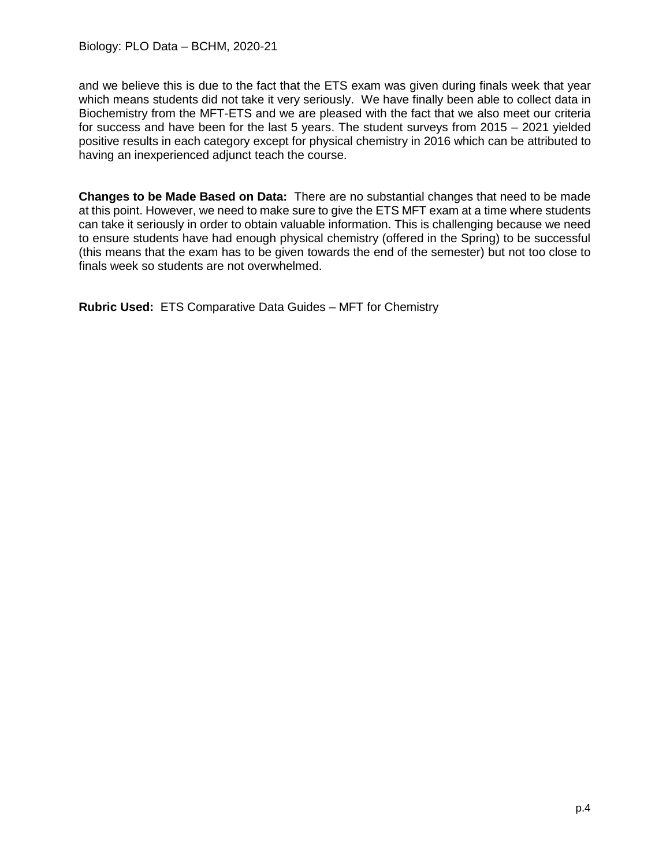and we believe this is due to the fact that the ETS exam was given during finals week that year which means students did not take it very seriously. We have finally been able to collect data in Biochemistry from the MFT-ETS and we are pleased with the fact that we also meet our criteria for success and have been for the last 5 years. The student surveys from 2015 – 2021 yielded positive results in each category except for physical chemistry in 2016 which can be attributed to having an inexperienced adjunct teach the course.

**Changes to be Made Based on Data:** There are no substantial changes that need to be made at this point. However, we need to make sure to give the ETS MFT exam at a time where students can take it seriously in order to obtain valuable information. This is challenging because we need to ensure students have had enough physical chemistry (offered in the Spring) to be successful (this means that the exam has to be given towards the end of the semester) but not too close to finals week so students are not overwhelmed.

**Rubric Used:** ETS Comparative Data Guides – MFT for Chemistry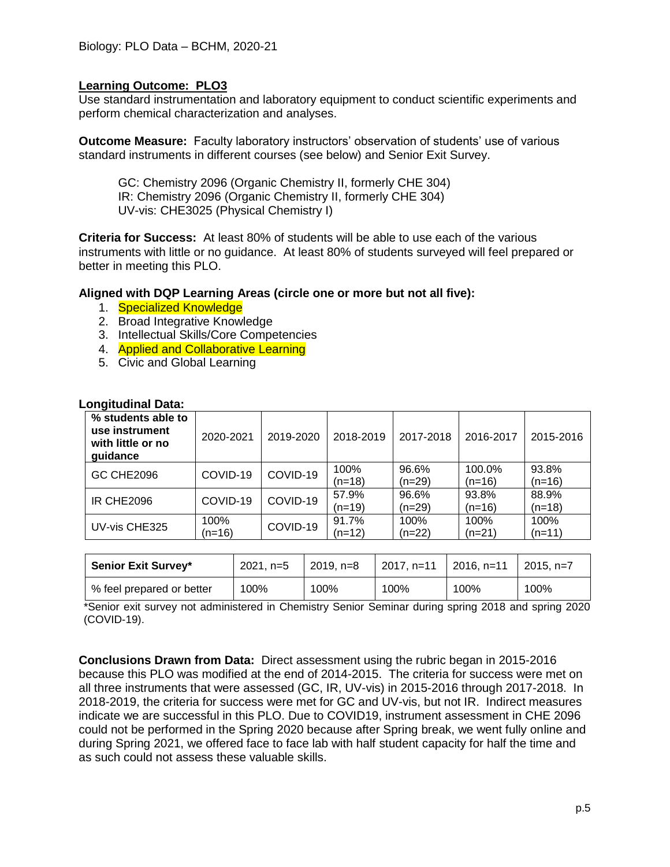Use standard instrumentation and laboratory equipment to conduct scientific experiments and perform chemical characterization and analyses.

**Outcome Measure:** Faculty laboratory instructors' observation of students' use of various standard instruments in different courses (see below) and Senior Exit Survey.

GC: Chemistry 2096 (Organic Chemistry II, formerly CHE 304) IR: Chemistry 2096 (Organic Chemistry II, formerly CHE 304) UV-vis: CHE3025 (Physical Chemistry I)

**Criteria for Success:** At least 80% of students will be able to use each of the various instruments with little or no guidance. At least 80% of students surveyed will feel prepared or better in meeting this PLO.

**Aligned with DQP Learning Areas (circle one or more but not all five):**

- 1. Specialized Knowledge
- 2. Broad Integrative Knowledge
- 3. Intellectual Skills/Core Competencies
- 4. **Applied and Collaborative Learning**
- 5. Civic and Global Learning

| vnynuunna vala.                                                       |                        |          |                   |                   |                    |                   |
|-----------------------------------------------------------------------|------------------------|----------|-------------------|-------------------|--------------------|-------------------|
| % students able to<br>use instrument<br>with little or no<br>guidance | 2019-2020<br>2020-2021 |          | 2018-2019         | 2017-2018         | 2016-2017          | 2015-2016         |
| <b>GC CHE2096</b>                                                     | COVID-19               | COVID-19 | 100%<br>(n=18)    | 96.6%<br>$(n=29)$ | 100.0%<br>$(n=16)$ | 93.8%<br>$(n=16)$ |
| <b>IR CHE2096</b>                                                     | COVID-19               | COVID-19 | 57.9%<br>$(n=19)$ | 96.6%<br>(n=29)   | 93.8%<br>$(n=16)$  | 88.9%<br>$(n=18)$ |
| UV-vis CHE325                                                         | 100%<br>(n=16)         | COVID-19 | 91.7%<br>$(n=12)$ | 100%<br>(n=22)    | 100%<br>$(n=21)$   | 100%<br>$(n=11)$  |

### **Longitudinal Data:**

| <b>Senior Exit Survey*</b> | $2021. n=5$<br>$2019. n=8$ |      | 2017. n=11 | l 2016. n=11 | l 2015. n=7 |
|----------------------------|----------------------------|------|------------|--------------|-------------|
| % feel prepared or better  | 100%                       | 100% | 100%       | 100%         | 100%        |

\*Senior exit survey not administered in Chemistry Senior Seminar during spring 2018 and spring 2020 (COVID-19).

**Conclusions Drawn from Data:** Direct assessment using the rubric began in 2015-2016 because this PLO was modified at the end of 2014-2015. The criteria for success were met on all three instruments that were assessed (GC, IR, UV-vis) in 2015-2016 through 2017-2018. In 2018-2019, the criteria for success were met for GC and UV-vis, but not IR. Indirect measures indicate we are successful in this PLO. Due to COVID19, instrument assessment in CHE 2096 could not be performed in the Spring 2020 because after Spring break, we went fully online and during Spring 2021, we offered face to face lab with half student capacity for half the time and as such could not assess these valuable skills.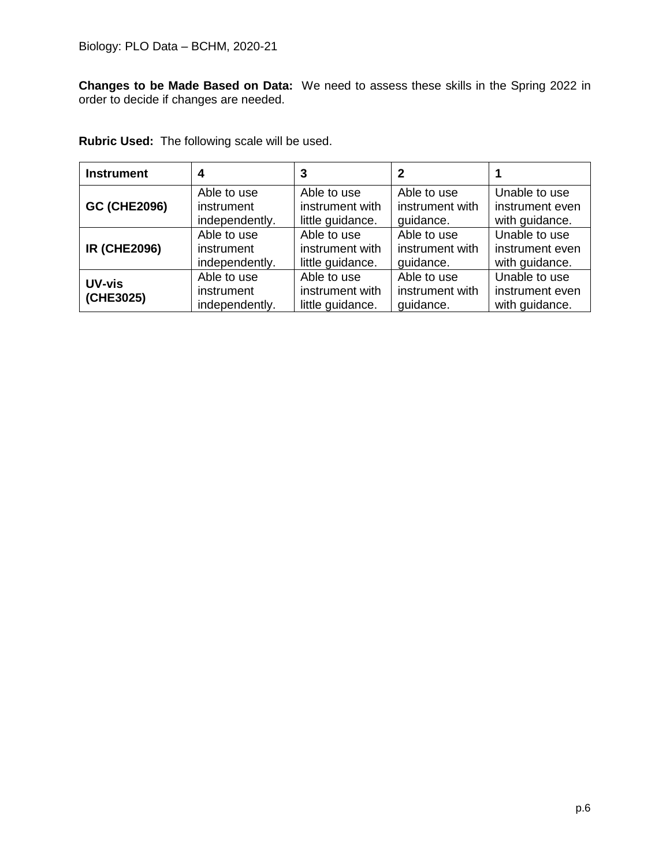**Changes to be Made Based on Data:** We need to assess these skills in the Spring 2022 in order to decide if changes are needed.

|  |  | <b>Rubric Used:</b> The following scale will be used. |
|--|--|-------------------------------------------------------|
|--|--|-------------------------------------------------------|

| <b>Instrument</b>          | 4                                           | 3                                                  | 2                                           |                                                    |
|----------------------------|---------------------------------------------|----------------------------------------------------|---------------------------------------------|----------------------------------------------------|
| <b>GC (CHE2096)</b>        | Able to use                                 | Able to use                                        | Able to use                                 | Unable to use                                      |
|                            | instrument                                  | instrument with                                    | instrument with                             | instrument even                                    |
|                            | independently.                              | little guidance.                                   | quidance.                                   | with guidance.                                     |
| <b>IR (CHE2096)</b>        | Able to use                                 | Able to use                                        | Able to use                                 | Unable to use                                      |
|                            | instrument                                  | instrument with                                    | instrument with                             | instrument even                                    |
|                            | independently.                              | little guidance.                                   | quidance.                                   | with guidance.                                     |
| <b>UV-vis</b><br>(CHE3025) | Able to use<br>instrument<br>independently. | Able to use<br>instrument with<br>little guidance. | Able to use<br>instrument with<br>quidance. | Unable to use<br>instrument even<br>with guidance. |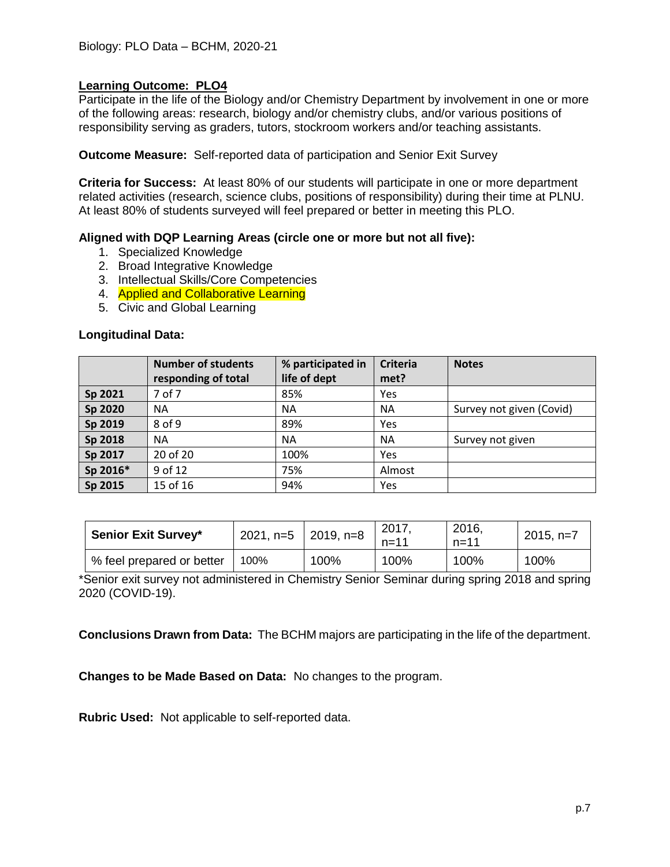Participate in the life of the Biology and/or Chemistry Department by involvement in one or more of the following areas: research, biology and/or chemistry clubs, and/or various positions of responsibility serving as graders, tutors, stockroom workers and/or teaching assistants.

**Outcome Measure:** Self-reported data of participation and Senior Exit Survey

**Criteria for Success:** At least 80% of our students will participate in one or more department related activities (research, science clubs, positions of responsibility) during their time at PLNU. At least 80% of students surveyed will feel prepared or better in meeting this PLO.

## **Aligned with DQP Learning Areas (circle one or more but not all five):**

- 1. Specialized Knowledge
- 2. Broad Integrative Knowledge
- 3. Intellectual Skills/Core Competencies
- 4. Applied and Collaborative Learning
- 5. Civic and Global Learning

#### **Longitudinal Data:**

|          | <b>Number of students</b><br>responding of total | % participated in<br>life of dept | <b>Criteria</b><br>met? | <b>Notes</b>             |
|----------|--------------------------------------------------|-----------------------------------|-------------------------|--------------------------|
| Sp 2021  | 7 of 7                                           | 85%                               | Yes                     |                          |
| Sp 2020  | <b>NA</b>                                        | <b>NA</b>                         | <b>NA</b>               | Survey not given (Covid) |
| Sp 2019  | $8$ of 9                                         | 89%                               | Yes                     |                          |
| Sp 2018  | <b>NA</b>                                        | <b>NA</b>                         | <b>NA</b>               | Survey not given         |
| Sp 2017  | 20 of 20                                         | 100%                              | Yes                     |                          |
| Sp 2016* | 9 of 12                                          | 75%                               | Almost                  |                          |
| Sp 2015  | 15 of 16                                         | 94%                               | Yes                     |                          |

| <b>Senior Exit Survey*</b> | 2021, n=5 $ $ 2019, n=8 |      | 2017<br>$n = 11$ | 2016,<br>$n = 11$ | $2015, n=7$ |
|----------------------------|-------------------------|------|------------------|-------------------|-------------|
| % feel prepared or better  | 100%                    | 100% | 100%             | 100%              | 100%        |

\*Senior exit survey not administered in Chemistry Senior Seminar during spring 2018 and spring 2020 (COVID-19).

**Conclusions Drawn from Data:** The BCHM majors are participating in the life of the department.

**Changes to be Made Based on Data:** No changes to the program.

**Rubric Used:** Not applicable to self-reported data.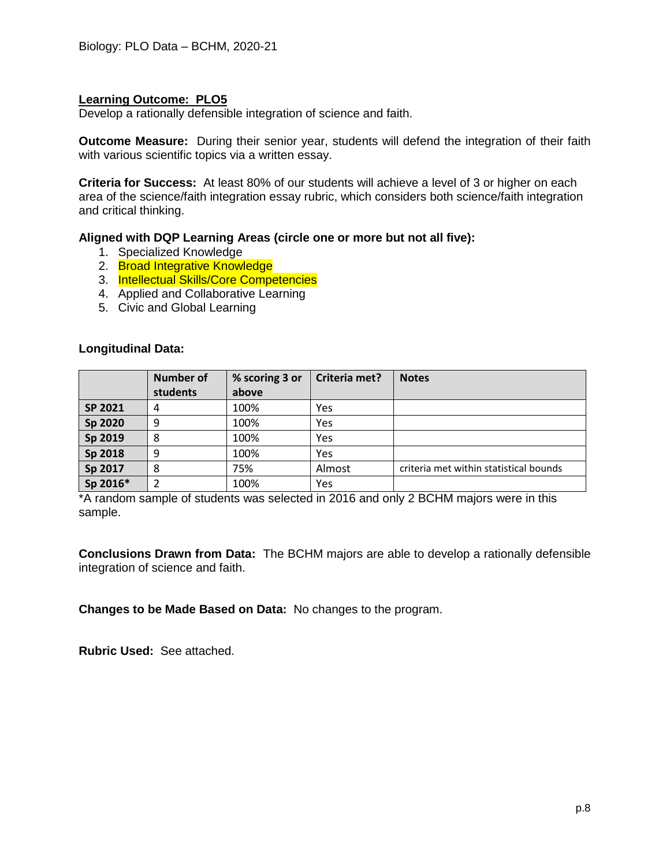Develop a rationally defensible integration of science and faith.

**Outcome Measure:** During their senior year, students will defend the integration of their faith with various scientific topics via a written essay.

**Criteria for Success:** At least 80% of our students will achieve a level of 3 or higher on each area of the science/faith integration essay rubric, which considers both science/faith integration and critical thinking.

## **Aligned with DQP Learning Areas (circle one or more but not all five):**

- 1. Specialized Knowledge
- 2. Broad Integrative Knowledge
- 3. Intellectual Skills/Core Competencies
- 4. Applied and Collaborative Learning
- 5. Civic and Global Learning

### **Longitudinal Data:**

|          | <b>Number of</b> | % scoring 3 or | Criteria met? | <b>Notes</b>                           |
|----------|------------------|----------------|---------------|----------------------------------------|
|          | students         | above          |               |                                        |
| SP 2021  | 4                | 100%           | Yes           |                                        |
| Sp 2020  | 9                | 100%           | Yes           |                                        |
| Sp 2019  | 8                | 100%           | Yes           |                                        |
| Sp 2018  | 9                | 100%           | Yes           |                                        |
| Sp 2017  | 8                | 75%            | Almost        | criteria met within statistical bounds |
| Sp 2016* |                  | 100%           | Yes           |                                        |

\*A random sample of students was selected in 2016 and only 2 BCHM majors were in this sample.

**Conclusions Drawn from Data:** The BCHM majors are able to develop a rationally defensible integration of science and faith.

**Changes to be Made Based on Data:** No changes to the program.

**Rubric Used:** See attached.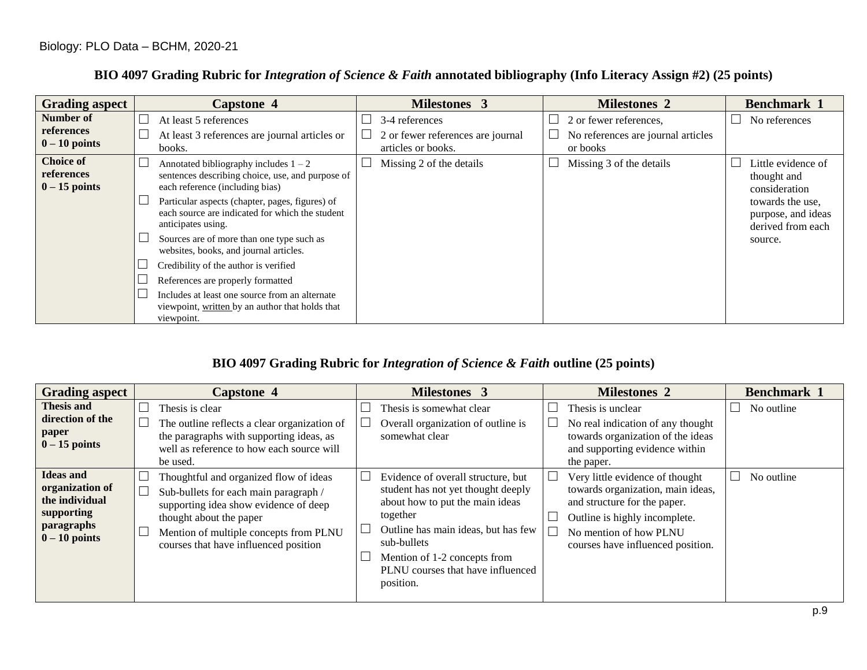| <b>Grading aspect</b>                             | <b>Capstone 4</b>                                                                                                              |   | <b>Milestones 3</b>                                                       | <b>Milestones 2</b>                                                      | <b>Benchmark 1</b>                                          |
|---------------------------------------------------|--------------------------------------------------------------------------------------------------------------------------------|---|---------------------------------------------------------------------------|--------------------------------------------------------------------------|-------------------------------------------------------------|
| Number of<br>references<br>$0-10$ points          | At least 5 references<br>At least 3 references are journal articles or<br>books.                                               | └ | 3-4 references<br>2 or fewer references are journal<br>articles or books. | 2 or fewer references,<br>No references are journal articles<br>or books | No references                                               |
| <b>Choice of</b><br>references<br>$0 - 15$ points | Annotated bibliography includes $1 - 2$<br>sentences describing choice, use, and purpose of<br>each reference (including bias) |   | Missing 2 of the details                                                  | Missing 3 of the details                                                 | Little evidence of<br>thought and<br>consideration          |
|                                                   | Particular aspects (chapter, pages, figures) of<br>each source are indicated for which the student<br>anticipates using.       |   |                                                                           |                                                                          | towards the use,<br>purpose, and ideas<br>derived from each |
|                                                   | Sources are of more than one type such as<br>websites, books, and journal articles.                                            |   |                                                                           |                                                                          | source.                                                     |
|                                                   | Credibility of the author is verified                                                                                          |   |                                                                           |                                                                          |                                                             |
|                                                   | References are properly formatted                                                                                              |   |                                                                           |                                                                          |                                                             |
|                                                   | Includes at least one source from an alternate<br>viewpoint, written by an author that holds that<br>viewpoint.                |   |                                                                           |                                                                          |                                                             |

# **BIO 4097 Grading Rubric for** *Integration of Science & Faith* **annotated bibliography (Info Literacy Assign #2) (25 points)**

## **BIO 4097 Grading Rubric for** *Integration of Science & Faith* **outline (25 points)**

| <b>Grading aspect</b>                                                                              | <b>Capstone 4</b>                                                                                                                                                                                                                      |        | <b>Milestones 3</b>                                                                                                                                                                                                                                             | <b>Milestones 2</b>                                                                                                                                                                                  | <b>Benchmark 1</b> |
|----------------------------------------------------------------------------------------------------|----------------------------------------------------------------------------------------------------------------------------------------------------------------------------------------------------------------------------------------|--------|-----------------------------------------------------------------------------------------------------------------------------------------------------------------------------------------------------------------------------------------------------------------|------------------------------------------------------------------------------------------------------------------------------------------------------------------------------------------------------|--------------------|
| <b>Thesis and</b><br>direction of the<br>paper<br>$0-15$ points                                    | Thesis is clear<br>The outline reflects a clear organization of<br>the paragraphs with supporting ideas, as<br>well as reference to how each source will<br>be used.                                                                   |        | Thesis is somewhat clear<br>Overall organization of outline is<br>somewhat clear                                                                                                                                                                                | Thesis is unclear<br>No real indication of any thought<br>towards organization of the ideas<br>and supporting evidence within<br>the paper.                                                          | No outline         |
| <b>Ideas and</b><br>organization of<br>the individual<br>supporting<br>paragraphs<br>$0-10$ points | Thoughtful and organized flow of ideas<br>Sub-bullets for each main paragraph /<br>supporting idea show evidence of deep<br>thought about the paper<br>Mention of multiple concepts from PLNU<br>courses that have influenced position | $\Box$ | Evidence of overall structure, but<br>student has not yet thought deeply<br>about how to put the main ideas<br>together<br>Outline has main ideas, but has few<br>sub-bullets<br>Mention of 1-2 concepts from<br>PLNU courses that have influenced<br>position. | Very little evidence of thought<br>towards organization, main ideas,<br>and structure for the paper.<br>Outline is highly incomplete.<br>No mention of how PLNU<br>courses have influenced position. | No outline         |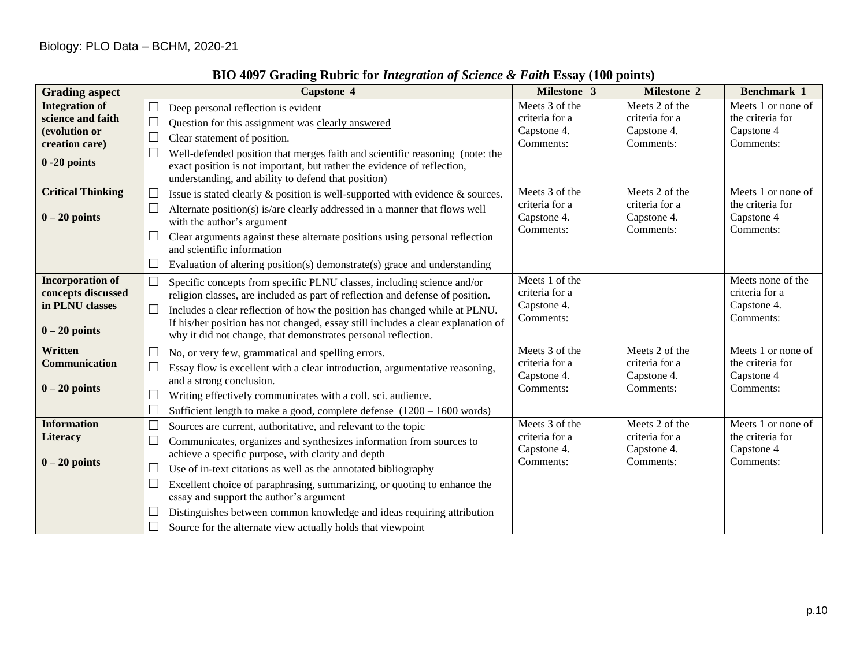| <b>Grading aspect</b>    | Capstone 4                                                                           | Milestone 3                                | <b>Milestone 2</b>       | <b>Benchmark 1</b>      |
|--------------------------|--------------------------------------------------------------------------------------|--------------------------------------------|--------------------------|-------------------------|
| <b>Integration of</b>    | $\Box$<br>Deep personal reflection is evident                                        | Meets 3 of the                             | Meets 2 of the           | Meets 1 or none of      |
| science and faith        | $\Box$<br>Question for this assignment was clearly answered                          | criteria for a<br>Capstone 4.<br>Comments: | criteria for a           | the criteria for        |
| (evolution or            | $\Box$<br>Clear statement of position.                                               |                                            | Capstone 4.<br>Comments: | Capstone 4<br>Comments: |
| creation care)           | Well-defended position that merges faith and scientific reasoning (note: the         |                                            |                          |                         |
| $0 - 20$ points          | exact position is not important, but rather the evidence of reflection,              |                                            |                          |                         |
|                          | understanding, and ability to defend that position)                                  |                                            |                          |                         |
| <b>Critical Thinking</b> | Issue is stated clearly $\&$ position is well-supported with evidence $\&$ sources.  | Meets 3 of the                             | Meets 2 of the           | Meets 1 or none of      |
|                          | Alternate position(s) is/are clearly addressed in a manner that flows well           | criteria for a                             | criteria for a           | the criteria for        |
| $0 - 20$ points          | with the author's argument                                                           | Capstone 4.                                | Capstone 4.              | Capstone 4              |
|                          | Clear arguments against these alternate positions using personal reflection          | Comments:                                  | Comments:                | Comments:               |
|                          | and scientific information                                                           |                                            |                          |                         |
|                          | Evaluation of altering position(s) demonstrate(s) grace and understanding            |                                            |                          |                         |
| <b>Incorporation of</b>  | $\Box$<br>Specific concepts from specific PLNU classes, including science and/or     | Meets 1 of the                             |                          | Meets none of the       |
| concepts discussed       | religion classes, are included as part of reflection and defense of position.        | criteria for a                             |                          | criteria for a          |
| in PLNU classes          | $\Box$<br>Includes a clear reflection of how the position has changed while at PLNU. | Capstone 4.                                |                          | Capstone 4.             |
|                          | If his/her position has not changed, essay still includes a clear explanation of     | Comments:                                  |                          | Comments:               |
| $0 - 20$ points          | why it did not change, that demonstrates personal reflection.                        |                                            |                          |                         |
| Written                  | No, or very few, grammatical and spelling errors.                                    | Meets 3 of the                             | Meets 2 of the           | Meets 1 or none of      |
| <b>Communication</b>     | Essay flow is excellent with a clear introduction, argumentative reasoning,          | criteria for a                             | criteria for a           | the criteria for        |
|                          | and a strong conclusion.                                                             | Capstone 4.                                | Capstone 4.              | Capstone 4              |
| $0 - 20$ points          | $\Box$<br>Writing effectively communicates with a coll. sci. audience.               | Comments:                                  | Comments:                | Comments:               |
|                          | Sufficient length to make a good, complete defense $(1200 - 1600$ words)             |                                            |                          |                         |
| <b>Information</b>       | $\Box$<br>Sources are current, authoritative, and relevant to the topic              | Meets 3 of the                             | Meets 2 of the           | Meets 1 or none of      |
| <b>Literacy</b>          | $\Box$<br>Communicates, organizes and synthesizes information from sources to        | criteria for a                             | criteria for a           | the criteria for        |
|                          | achieve a specific purpose, with clarity and depth                                   | Capstone 4.                                | Capstone 4.              | Capstone 4              |
| $0 - 20$ points          | Use of in-text citations as well as the annotated bibliography                       | Comments:                                  | Comments:                | Comments:               |
|                          | $\Box$<br>Excellent choice of paraphrasing, summarizing, or quoting to enhance the   |                                            |                          |                         |
|                          | essay and support the author's argument                                              |                                            |                          |                         |
|                          | Distinguishes between common knowledge and ideas requiring attribution               |                                            |                          |                         |
|                          | Source for the alternate view actually holds that viewpoint                          |                                            |                          |                         |

# **BIO 4097 Grading Rubric for** *Integration of Science & Faith* **Essay (100 points)**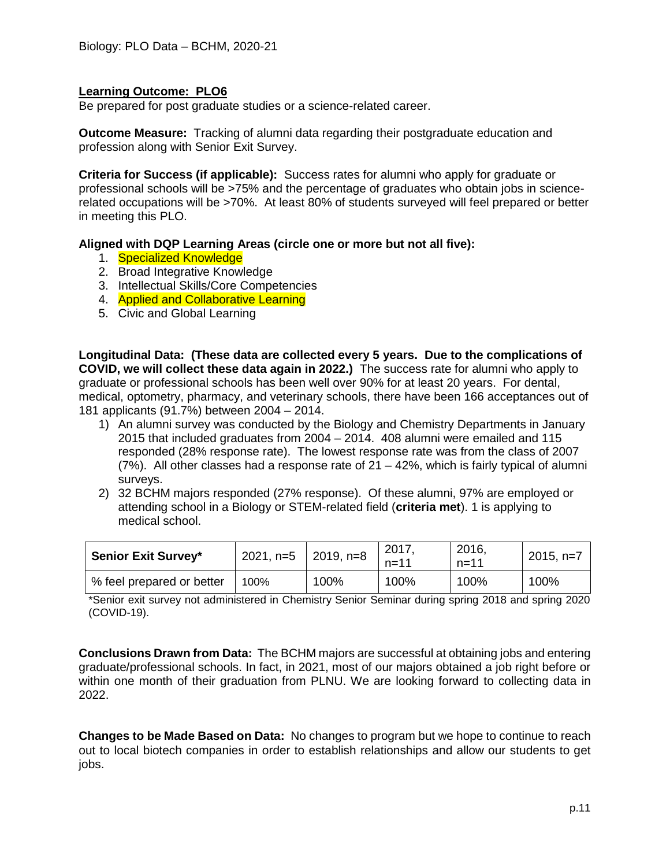Be prepared for post graduate studies or a science-related career.

**Outcome Measure:** Tracking of alumni data regarding their postgraduate education and profession along with Senior Exit Survey.

**Criteria for Success (if applicable):** Success rates for alumni who apply for graduate or professional schools will be >75% and the percentage of graduates who obtain jobs in sciencerelated occupations will be >70%. At least 80% of students surveyed will feel prepared or better in meeting this PLO.

### **Aligned with DQP Learning Areas (circle one or more but not all five):**

- 1. Specialized Knowledge
- 2. Broad Integrative Knowledge
- 3. Intellectual Skills/Core Competencies
- 4. Applied and Collaborative Learning
- 5. Civic and Global Learning

**Longitudinal Data: (These data are collected every 5 years. Due to the complications of COVID, we will collect these data again in 2022.)** The success rate for alumni who apply to graduate or professional schools has been well over 90% for at least 20 years. For dental, medical, optometry, pharmacy, and veterinary schools, there have been 166 acceptances out of 181 applicants (91.7%) between 2004 – 2014.

- 1) An alumni survey was conducted by the Biology and Chemistry Departments in January 2015 that included graduates from 2004 – 2014. 408 alumni were emailed and 115 responded (28% response rate). The lowest response rate was from the class of 2007 (7%). All other classes had a response rate of 21 – 42%, which is fairly typical of alumni surveys.
- 2) 32 BCHM majors responded (27% response). Of these alumni, 97% are employed or attending school in a Biology or STEM-related field (**criteria met**). 1 is applying to medical school.

| <b>Senior Exit Survey*</b> | 2021, n=5   2019, n=8 |      | 2017,<br>$n = 11$ | 2016.<br>$n = 11$ | $2015, n=7$ |
|----------------------------|-----------------------|------|-------------------|-------------------|-------------|
| % feel prepared or better  | 100%                  | 100% | 100%              | 100%              | 100%        |

\*Senior exit survey not administered in Chemistry Senior Seminar during spring 2018 and spring 2020 (COVID-19).

**Conclusions Drawn from Data:** The BCHM majors are successful at obtaining jobs and entering graduate/professional schools. In fact, in 2021, most of our majors obtained a job right before or within one month of their graduation from PLNU. We are looking forward to collecting data in 2022.

**Changes to be Made Based on Data:** No changes to program but we hope to continue to reach out to local biotech companies in order to establish relationships and allow our students to get jobs.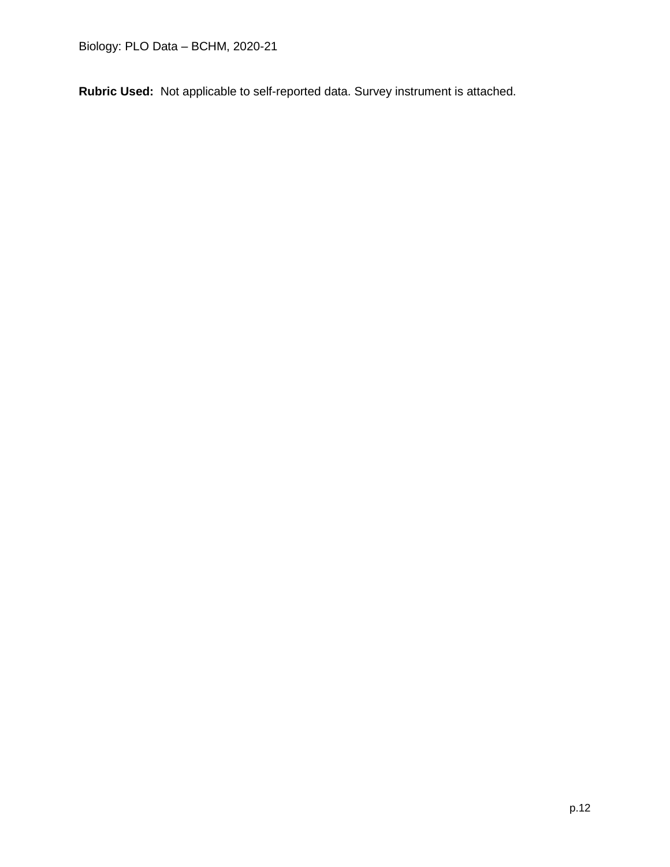**Rubric Used:** Not applicable to self-reported data. Survey instrument is attached.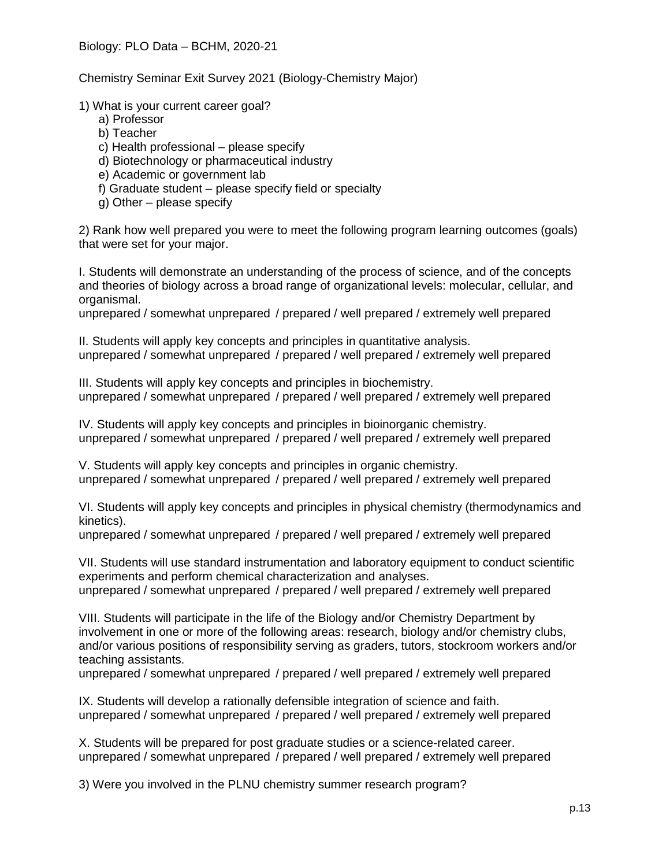Chemistry Seminar Exit Survey 2021 (Biology-Chemistry Major)

1) What is your current career goal?

- a) Professor
- b) Teacher
- c) Health professional please specify
- d) Biotechnology or pharmaceutical industry
- e) Academic or government lab
- f) Graduate student please specify field or specialty
- g) Other please specify

2) Rank how well prepared you were to meet the following program learning outcomes (goals) that were set for your major.

I. Students will demonstrate an understanding of the process of science, and of the concepts and theories of biology across a broad range of organizational levels: molecular, cellular, and organismal.

unprepared / somewhat unprepared / prepared / well prepared / extremely well prepared

II. Students will apply key concepts and principles in quantitative analysis. unprepared / somewhat unprepared / prepared / well prepared / extremely well prepared

III. Students will apply key concepts and principles in biochemistry. unprepared / somewhat unprepared / prepared / well prepared / extremely well prepared

IV. Students will apply key concepts and principles in bioinorganic chemistry. unprepared / somewhat unprepared / prepared / well prepared / extremely well prepared

V. Students will apply key concepts and principles in organic chemistry. unprepared / somewhat unprepared / prepared / well prepared / extremely well prepared

VI. Students will apply key concepts and principles in physical chemistry (thermodynamics and kinetics).

unprepared / somewhat unprepared / prepared / well prepared / extremely well prepared

VII. Students will use standard instrumentation and laboratory equipment to conduct scientific experiments and perform chemical characterization and analyses. unprepared / somewhat unprepared / prepared / well prepared / extremely well prepared

VIII. Students will participate in the life of the Biology and/or Chemistry Department by involvement in one or more of the following areas: research, biology and/or chemistry clubs, and/or various positions of responsibility serving as graders, tutors, stockroom workers and/or teaching assistants.

unprepared / somewhat unprepared / prepared / well prepared / extremely well prepared

IX. Students will develop a rationally defensible integration of science and faith. unprepared / somewhat unprepared / prepared / well prepared / extremely well prepared

X. Students will be prepared for post graduate studies or a science-related career. unprepared / somewhat unprepared / prepared / well prepared / extremely well prepared

3) Were you involved in the PLNU chemistry summer research program?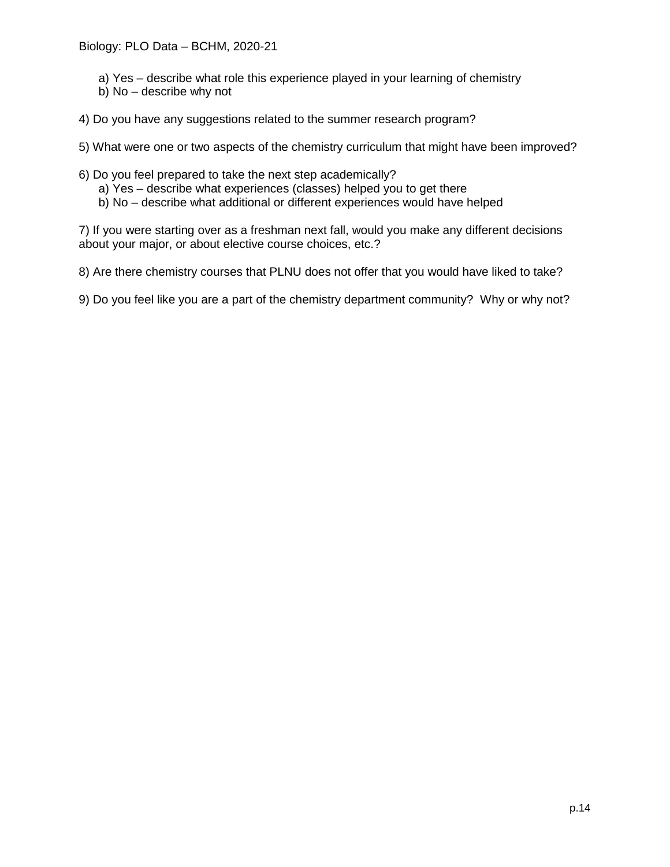- a) Yes describe what role this experience played in your learning of chemistry
- b) No describe why not
- 4) Do you have any suggestions related to the summer research program?

5) What were one or two aspects of the chemistry curriculum that might have been improved?

- 6) Do you feel prepared to take the next step academically?
	- a) Yes describe what experiences (classes) helped you to get there
	- b) No describe what additional or different experiences would have helped

7) If you were starting over as a freshman next fall, would you make any different decisions about your major, or about elective course choices, etc.?

8) Are there chemistry courses that PLNU does not offer that you would have liked to take?

9) Do you feel like you are a part of the chemistry department community? Why or why not?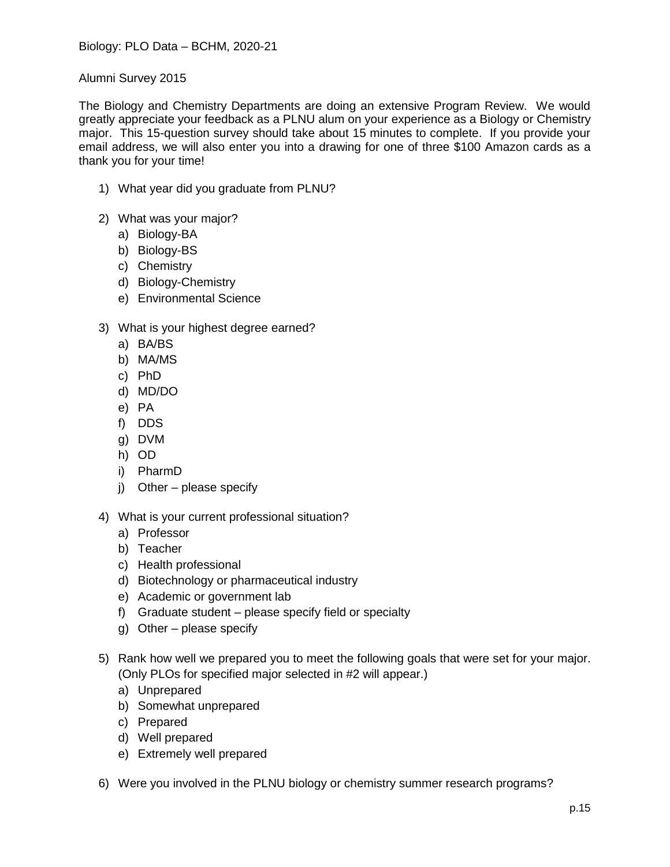Alumni Survey 2015

The Biology and Chemistry Departments are doing an extensive Program Review. We would greatly appreciate your feedback as a PLNU alum on your experience as a Biology or Chemistry major. This 15-question survey should take about 15 minutes to complete. If you provide your email address, we will also enter you into a drawing for one of three \$100 Amazon cards as a thank you for your time!

- 1) What year did you graduate from PLNU?
- 2) What was your major?
	- a) Biology-BA
	- b) Biology-BS
	- c) Chemistry
	- d) Biology-Chemistry
	- e) Environmental Science
- 3) What is your highest degree earned?
	- a) BA/BS
	- b) MA/MS
	- c) PhD
	- d) MD/DO
	- e) PA
	- f) DDS
	- g) DVM
	- h) OD
	- i) PharmD
	- j) Other please specify
- 4) What is your current professional situation?
	- a) Professor
	- b) Teacher
	- c) Health professional
	- d) Biotechnology or pharmaceutical industry
	- e) Academic or government lab
	- f) Graduate student please specify field or specialty
	- g) Other please specify
- 5) Rank how well we prepared you to meet the following goals that were set for your major. (Only PLOs for specified major selected in #2 will appear.)
	- a) Unprepared
	- b) Somewhat unprepared
	- c) Prepared
	- d) Well prepared
	- e) Extremely well prepared
- 6) Were you involved in the PLNU biology or chemistry summer research programs?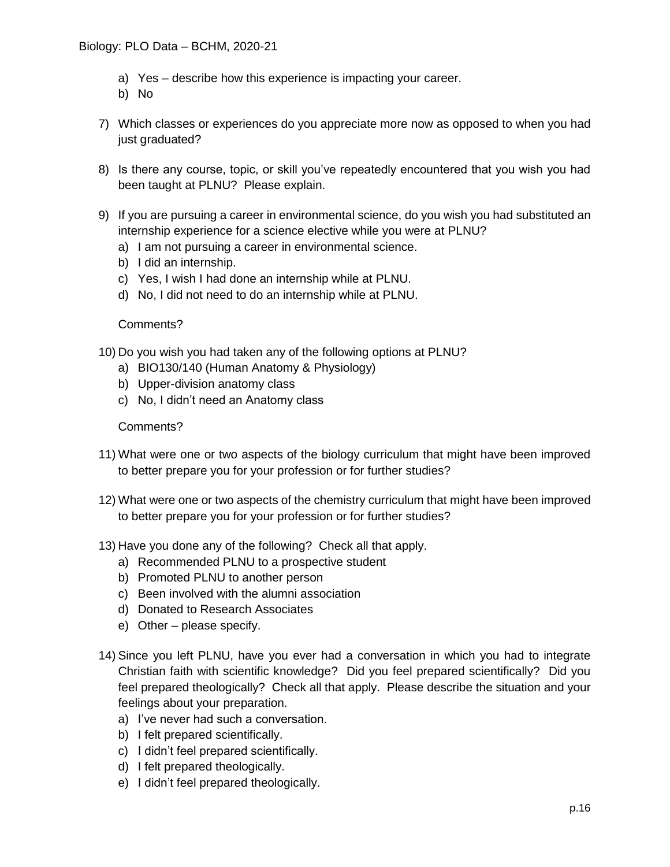- a) Yes describe how this experience is impacting your career.
- b) No
- 7) Which classes or experiences do you appreciate more now as opposed to when you had just graduated?
- 8) Is there any course, topic, or skill you've repeatedly encountered that you wish you had been taught at PLNU? Please explain.
- 9) If you are pursuing a career in environmental science, do you wish you had substituted an internship experience for a science elective while you were at PLNU?
	- a) I am not pursuing a career in environmental science.
	- b) I did an internship.
	- c) Yes, I wish I had done an internship while at PLNU.
	- d) No, I did not need to do an internship while at PLNU.

## Comments?

- 10) Do you wish you had taken any of the following options at PLNU?
	- a) BIO130/140 (Human Anatomy & Physiology)
	- b) Upper-division anatomy class
	- c) No, I didn't need an Anatomy class

## Comments?

- 11) What were one or two aspects of the biology curriculum that might have been improved to better prepare you for your profession or for further studies?
- 12) What were one or two aspects of the chemistry curriculum that might have been improved to better prepare you for your profession or for further studies?
- 13) Have you done any of the following? Check all that apply.
	- a) Recommended PLNU to a prospective student
	- b) Promoted PLNU to another person
	- c) Been involved with the alumni association
	- d) Donated to Research Associates
	- e) Other please specify.
- 14) Since you left PLNU, have you ever had a conversation in which you had to integrate Christian faith with scientific knowledge? Did you feel prepared scientifically? Did you feel prepared theologically? Check all that apply. Please describe the situation and your feelings about your preparation.
	- a) I've never had such a conversation.
	- b) I felt prepared scientifically.
	- c) I didn't feel prepared scientifically.
	- d) I felt prepared theologically.
	- e) I didn't feel prepared theologically.